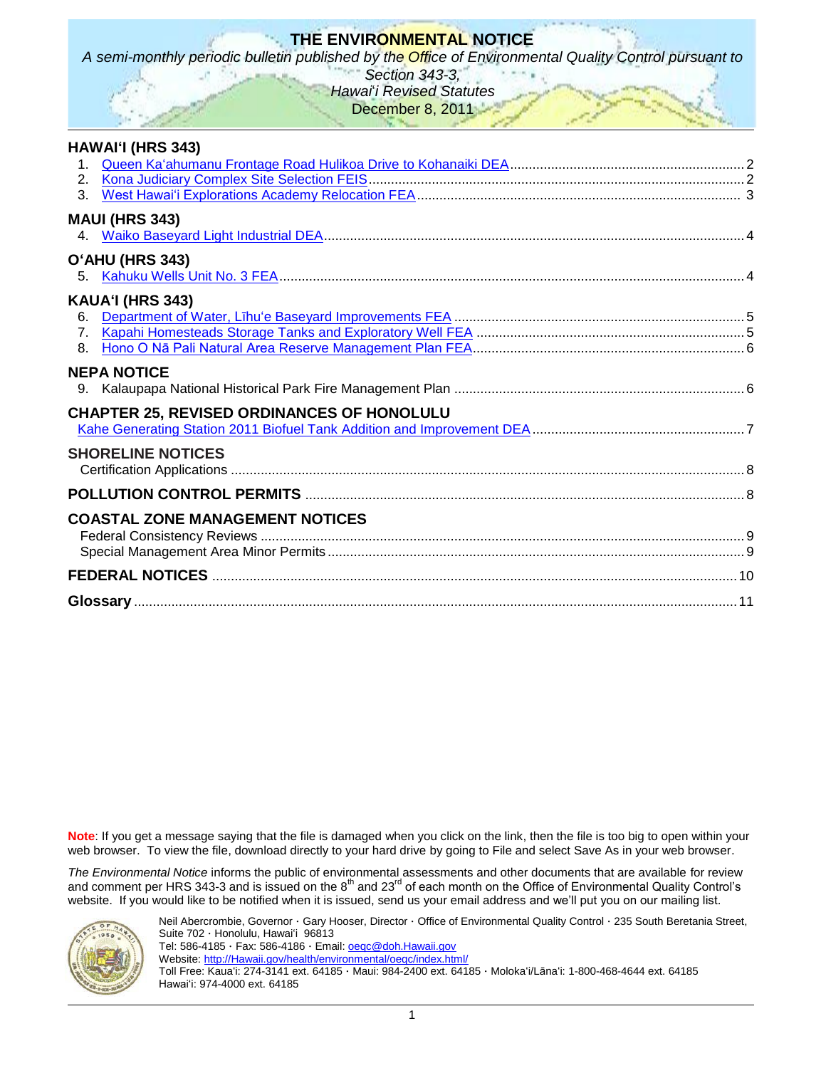# **THE ENVIRONMENTAL NOTICE**

*A semi-monthly periodic bulletin published by the Office of Environmental Quality Control pursuant to* 

*Section 343-3, Hawai*'*i Revised Statutes*

December 8, 2011

| <b>HAWAI'I (HRS 343)</b>                          |  |
|---------------------------------------------------|--|
| 1.                                                |  |
| 2.                                                |  |
| $\mathcal{R}$                                     |  |
| <b>MAUI (HRS 343)</b>                             |  |
|                                                   |  |
| O'AHU (HRS 343)                                   |  |
| 5.                                                |  |
|                                                   |  |
| KAUA'I (HRS 343)                                  |  |
| 6.<br>7 <sub>1</sub>                              |  |
| 8.                                                |  |
|                                                   |  |
| <b>NEPA NOTICE</b>                                |  |
|                                                   |  |
| <b>CHAPTER 25, REVISED ORDINANCES OF HONOLULU</b> |  |
|                                                   |  |
| <b>SHORELINE NOTICES</b>                          |  |
|                                                   |  |
|                                                   |  |
|                                                   |  |
| <b>COASTAL ZONE MANAGEMENT NOTICES</b>            |  |
|                                                   |  |
|                                                   |  |
|                                                   |  |
|                                                   |  |
|                                                   |  |

**Note**: If you get a message saying that the file is damaged when you click on the link, then the file is too big to open within your web browser. To view the file, download directly to your hard drive by going to File and select Save As in your web browser.

*The Environmental Notice* informs the public of environmental assessments and other documents that are available for review and comment per HRS 343-3 and is issued on the  $8<sup>th</sup>$  and 23<sup>rd</sup> of each month on the Office of Environmental Quality Control's website. If you would like to be notified when it is issued, send us your email address and we'll put you on our mailing list.



Neil Abercrombie, Governor · Gary Hooser, Director · Office of Environmental Quality Control · 235 South Beretania Street, Suite 702 · Honolulu, Hawaiʻi 96813

Tel: 586-4185 · Fax: 586-4186 · Email: oegc@doh.Hawaii.gov Website: [http://Hawaii.gov/health/environmental/oeqc/index.html/](http://hawaii.gov/health/environmental/oeqc/index.html/)

Toll Free: Kauaʻi: 274-3141 ext. 64185 · Maui: 984-2400 ext. 64185 · Molokaʻi/Lānaʻi: 1-800-468-4644 ext. 64185 Hawaiʻi: 974-4000 ext. 64185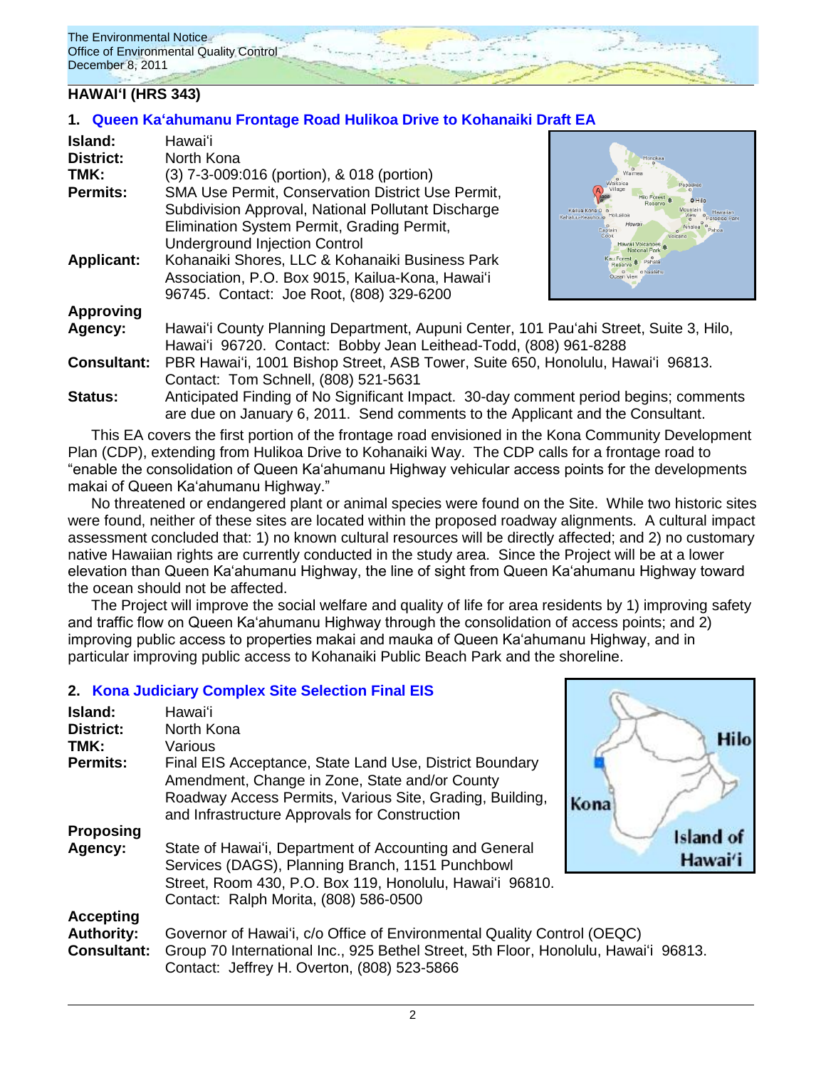The Environmental Notice Office of Environmental Quality Control December 8, 2011

### **HAWAIʻI (HRS 343)**

### **1. [Queen Kaʻahumanu Frontage Road Hulikoa Drive to Kohanaiki Draft EA](http://oeqc.doh.hawaii.gov/Shared%20Documents/EA_and_EIS_Online_Library/Hawaii/2010s/2011-12-08-DEA-Queen-Kaahumanu-Highway-Frontage-Road.pdf)**

| Island:<br><b>District:</b><br>TMK:<br><b>Permits:</b><br><b>Applicant:</b> | Hawaiʻi<br>North Kona<br>(3) 7-3-009:016 (portion), & 018 (portion)<br>SMA Use Permit, Conservation District Use Permit,<br>Subdivision Approval, National Pollutant Discharge<br>Elimination System Permit, Grading Permit,<br><b>Underground Injection Control</b><br>Kohanaiki Shores, LLC & Kohanaiki Business Park | Honokaa<br>Waikolo<br>eneeken<br>o Hilo<br>Kailua Kona O<br>Kahaluu-Keauhou o<br>Captair<br>Cook<br>Hawaii Volcanoes |  |
|-----------------------------------------------------------------------------|-------------------------------------------------------------------------------------------------------------------------------------------------------------------------------------------------------------------------------------------------------------------------------------------------------------------------|----------------------------------------------------------------------------------------------------------------------|--|
|                                                                             | Association, P.O. Box 9015, Kailua-Kona, Hawai'i<br>96745. Contact: Joe Root, (808) 329-6200                                                                                                                                                                                                                            |                                                                                                                      |  |
| <b>Approving</b>                                                            |                                                                                                                                                                                                                                                                                                                         |                                                                                                                      |  |
| Agency:                                                                     | Hawai'i County Planning Department, Aupuni Center, 101 Pau'ahi Street, Suite 3, Hilo,                                                                                                                                                                                                                                   |                                                                                                                      |  |
|                                                                             | Hawai'i 96720. Contact: Bobby Jean Leithead-Todd, (808) 961-8288                                                                                                                                                                                                                                                        |                                                                                                                      |  |
| <b>Consultant:</b>                                                          | PBR Hawai'i, 1001 Bishop Street, ASB Tower, Suite 650, Honolulu, Hawai'i 96813.                                                                                                                                                                                                                                         |                                                                                                                      |  |
|                                                                             | Contact: Tom Schnell, (808) 521-5631                                                                                                                                                                                                                                                                                    |                                                                                                                      |  |
| <b>Status:</b>                                                              | Anticipated Finding of No Significant Impact. 30-day comment period begins; comments<br>are due on January 6, 2011. Send comments to the Applicant and the Consultant.                                                                                                                                                  |                                                                                                                      |  |

This EA covers the first portion of the frontage road envisioned in the Kona Community Development Plan (CDP), extending from Hulikoa Drive to Kohanaiki Way. The CDP calls for a frontage road to "enable the consolidation of Queen Ka'ahumanu Highway vehicular access points for the developments makai of Queen Ka'ahumanu Highway."

No threatened or endangered plant or animal species were found on the Site. While two historic sites were found, neither of these sites are located within the proposed roadway alignments. A cultural impact assessment concluded that: 1) no known cultural resources will be directly affected; and 2) no customary native Hawaiian rights are currently conducted in the study area. Since the Project will be at a lower elevation than Queen Ka'ahumanu Highway, the line of sight from Queen Ka'ahumanu Highway toward the ocean should not be affected.

The Project will improve the social welfare and quality of life for area residents by 1) improving safety and traffic flow on Queen Ka'ahumanu Highway through the consolidation of access points; and 2) improving public access to properties makai and mauka of Queen Ka'ahumanu Highway, and in particular improving public access to Kohanaiki Public Beach Park and the shoreline.

Hilo

ad of wai'i

### **2. [Kona Judiciary Complex Site Selection](http://oeqc.doh.hawaii.gov/Shared%20Documents/EA_and_EIS_Online_Library/Hawaii/2010s/2011-12-08-FEIS-Kona-Judiciary-Complex.pdf) Final EIS**

| Island:<br><b>District:</b><br>TMK:                         | Hawai'i<br>North Kona<br>Various                                                                                                                                                                                       |              |
|-------------------------------------------------------------|------------------------------------------------------------------------------------------------------------------------------------------------------------------------------------------------------------------------|--------------|
| <b>Permits:</b>                                             | Final EIS Acceptance, State Land Use, District Boundary<br>Amendment, Change in Zone, State and/or County<br>Roadway Access Permits, Various Site, Grading, Building,<br>and Infrastructure Approvals for Construction | Kona         |
| Proposing<br>Agency:                                        | State of Hawai'i, Department of Accounting and General<br>Services (DAGS), Planning Branch, 1151 Punchbowl<br>Street, Room 430, P.O. Box 119, Honolulu, Hawai'i 96810.<br>Contact: Ralph Morita, (808) 586-0500        | Islan<br>Hav |
| <b>Accepting</b><br><b>Authority:</b><br><b>Consultant:</b> | Governor of Hawai'i, c/o Office of Environmental Quality Control (OEQC)<br>Group 70 International Inc., 925 Bethel Street, 5th Floor, Honolulu, Hawai'i 96813.<br>Contact: Jeffrey H. Overton, (808) 523-5866          |              |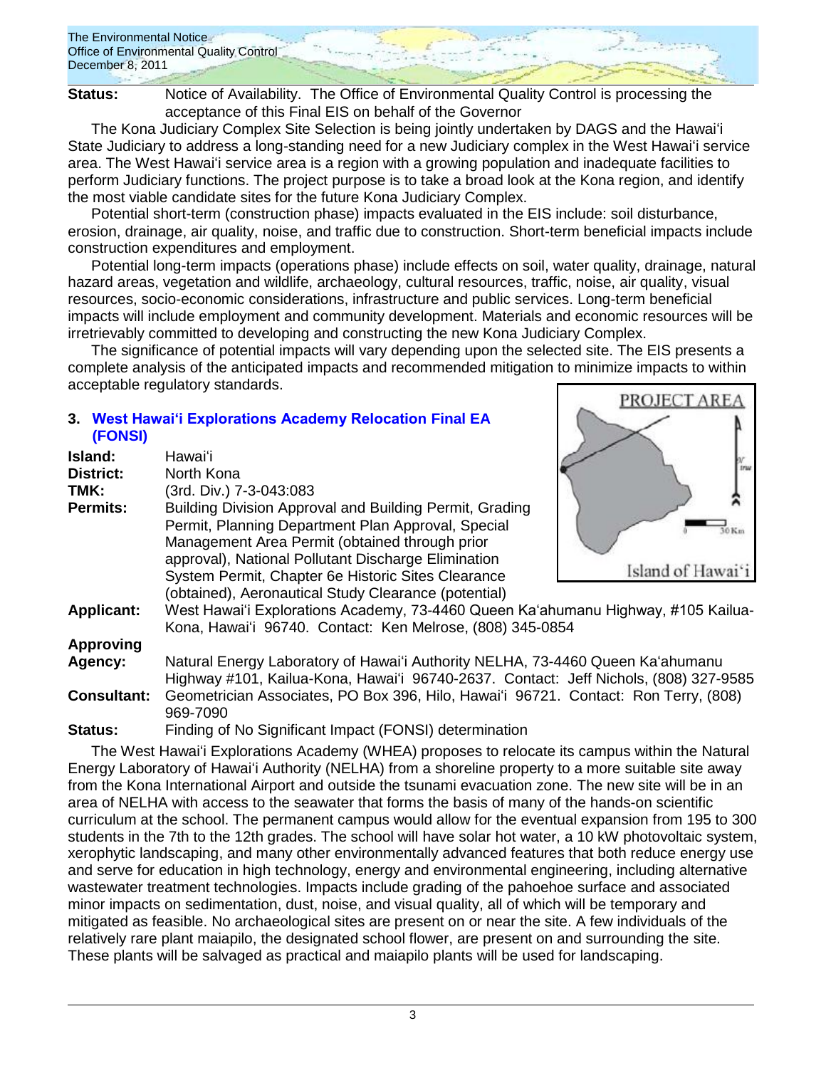

**Status:** Notice of Availability. The Office of Environmental Quality Control is processing the acceptance of this Final EIS on behalf of the Governor

The Kona Judiciary Complex Site Selection is being jointly undertaken by DAGS and the Hawaiʻi State Judiciary to address a long-standing need for a new Judiciary complex in the West Hawaiʻi service area. The West Hawaiʻi service area is a region with a growing population and inadequate facilities to perform Judiciary functions. The project purpose is to take a broad look at the Kona region, and identify the most viable candidate sites for the future Kona Judiciary Complex.

Potential short-term (construction phase) impacts evaluated in the EIS include: soil disturbance, erosion, drainage, air quality, noise, and traffic due to construction. Short-term beneficial impacts include construction expenditures and employment.

Potential long-term impacts (operations phase) include effects on soil, water quality, drainage, natural hazard areas, vegetation and wildlife, archaeology, cultural resources, traffic, noise, air quality, visual resources, socio-economic considerations, infrastructure and public services. Long-term beneficial impacts will include employment and community development. Materials and economic resources will be irretrievably committed to developing and constructing the new Kona Judiciary Complex.

The significance of potential impacts will vary depending upon the selected site. The EIS presents a complete analysis of the anticipated impacts and recommended mitigation to minimize impacts to within acceptable regulatory standards.

PROJECT AREA

# **3. [West Hawai'i Explorations Academy Relocation](http://oeqc.doh.hawaii.gov/Shared%20Documents/EA_and_EIS_Online_Library/Hawaii/2010s/2011-12-08-FEA-West-Hawaii-Explorations-Academy.pdf) Final EA [\(FONSI\)](http://oeqc.doh.hawaii.gov/Shared%20Documents/EA_and_EIS_Online_Library/Hawaii/2010s/2011-12-08-FEA-West-Hawaii-Explorations-Academy.pdf)**

| Island:            | Hawaiʻi                                                                                                                                                                |                   |
|--------------------|------------------------------------------------------------------------------------------------------------------------------------------------------------------------|-------------------|
| <b>District:</b>   | North Kona                                                                                                                                                             | tray              |
| TMK:               | (3rd. Div.) 7-3-043:083                                                                                                                                                |                   |
| <b>Permits:</b>    | Building Division Approval and Building Permit, Grading<br>Permit, Planning Department Plan Approval, Special<br>Management Area Permit (obtained through prior        | $30$ Km           |
|                    | approval), National Pollutant Discharge Elimination<br>System Permit, Chapter 6e Historic Sites Clearance                                                              | Island of Hawai'i |
|                    | (obtained), Aeronautical Study Clearance (potential)                                                                                                                   |                   |
| <b>Applicant:</b>  | West Hawai'i Explorations Academy, 73-4460 Queen Ka'ahumanu Highway, #105 Kailua-<br>Kona, Hawai'i 96740. Contact: Ken Melrose, (808) 345-0854                         |                   |
| <b>Approving</b>   |                                                                                                                                                                        |                   |
| Agency:            | Natural Energy Laboratory of Hawai'i Authority NELHA, 73-4460 Queen Ka'ahumanu<br>Highway #101, Kailua-Kona, Hawai'i 96740-2637. Contact: Jeff Nichols, (808) 327-9585 |                   |
| <b>Consultant:</b> | Geometrician Associates, PO Box 396, Hilo, Hawai'i 96721. Contact: Ron Terry, (808)<br>969-7090                                                                        |                   |
| <b>Status:</b>     | Finding of No Significant Impact (FONSI) determination                                                                                                                 |                   |

The West Hawaiʻi Explorations Academy (WHEA) proposes to relocate its campus within the Natural Energy Laboratory of Hawaiʻi Authority (NELHA) from a shoreline property to a more suitable site away from the Kona International Airport and outside the tsunami evacuation zone. The new site will be in an area of NELHA with access to the seawater that forms the basis of many of the hands-on scientific curriculum at the school. The permanent campus would allow for the eventual expansion from 195 to 300 students in the 7th to the 12th grades. The school will have solar hot water, a 10 kW photovoltaic system, xerophytic landscaping, and many other environmentally advanced features that both reduce energy use and serve for education in high technology, energy and environmental engineering, including alternative wastewater treatment technologies. Impacts include grading of the pahoehoe surface and associated minor impacts on sedimentation, dust, noise, and visual quality, all of which will be temporary and mitigated as feasible. No archaeological sites are present on or near the site. A few individuals of the relatively rare plant maiapilo, the designated school flower, are present on and surrounding the site. These plants will be salvaged as practical and maiapilo plants will be used for landscaping.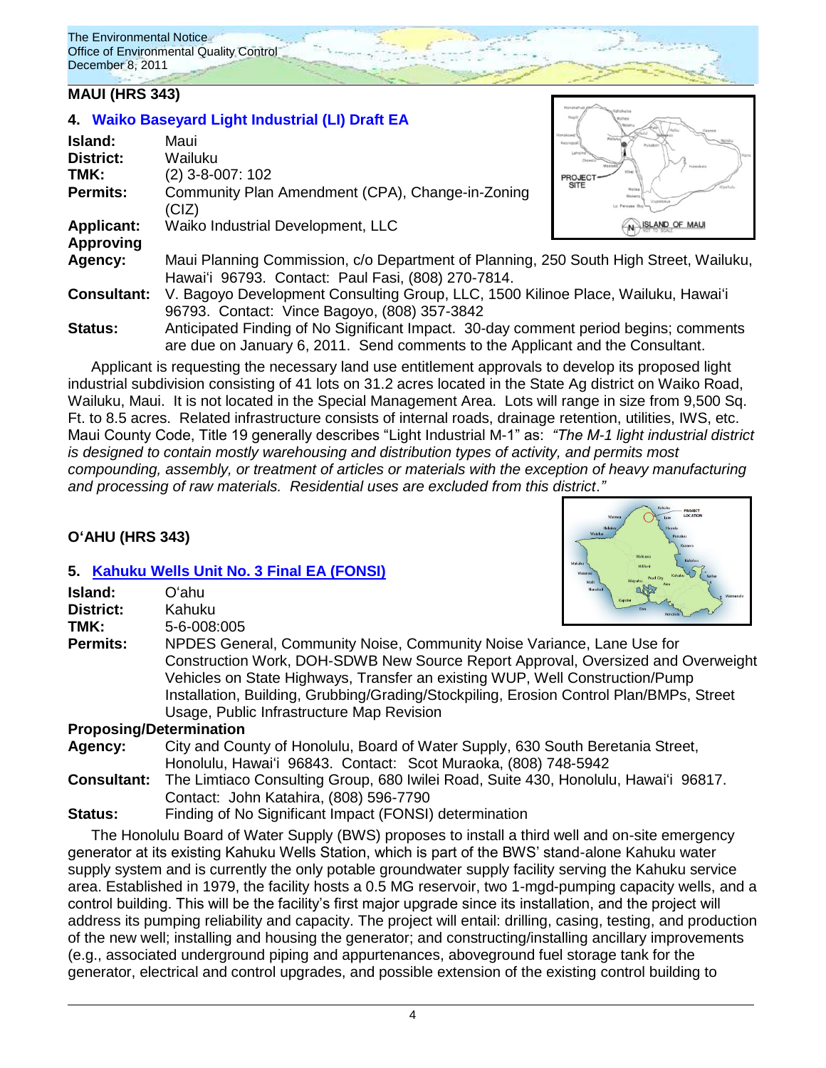The Environmental Notice Office of Environmental Quality Control December 8, 2011

### **MAUI (HRS 343)**

| Island:            | Maui                                                                                                                                                                   | Honokowa<br>Kesneps   |
|--------------------|------------------------------------------------------------------------------------------------------------------------------------------------------------------------|-----------------------|
| <b>District:</b>   | Wailuku                                                                                                                                                                | Holeokolo             |
| TMK:               | (2) 3-8-007: 102                                                                                                                                                       | PROJECT               |
| <b>Permits:</b>    | Community Plan Amendment (CPA), Change-in-Zoning<br>(CIZ)                                                                                                              | <b>SITE</b><br>Wolleg |
| <b>Applicant:</b>  | Waiko Industrial Development, LLC                                                                                                                                      | N ISLAND OF MAUL      |
| <b>Approving</b>   |                                                                                                                                                                        |                       |
| Agency:            | Maui Planning Commission, c/o Department of Planning, 250 South High Street, Wailuku,<br>Hawai'i 96793. Contact: Paul Fasi, (808) 270-7814.                            |                       |
| <b>Consultant:</b> | V. Bagoyo Development Consulting Group, LLC, 1500 Kilinoe Place, Wailuku, Hawai'i                                                                                      |                       |
|                    | 96793. Contact: Vince Bagoyo, (808) 357-3842                                                                                                                           |                       |
| <b>Status:</b>     | Anticipated Finding of No Significant Impact. 30-day comment period begins; comments<br>are due on January 6, 2011. Send comments to the Applicant and the Consultant. |                       |
|                    |                                                                                                                                                                        |                       |

Applicant is requesting the necessary land use entitlement approvals to develop its proposed light industrial subdivision consisting of 41 lots on 31.2 acres located in the State Ag district on Waiko Road, Wailuku, Maui. It is not located in the Special Management Area. Lots will range in size from 9,500 Sq. Ft. to 8.5 acres. Related infrastructure consists of internal roads, drainage retention, utilities, IWS, etc. Maui County Code, Title 19 generally describes "Light Industrial M-1" as: *"The M-1 light industrial district is designed to contain mostly warehousing and distribution types of activity, and permits most compounding, assembly, or treatment of articles or materials with the exception of heavy manufacturing and processing of raw materials. Residential uses are excluded from this district*.*"*

# **OʻAHU (HRS 343)**

### **5. [Kahuku Wells Unit No. 3](http://oeqc.doh.hawaii.gov/Shared%20Documents/EA_and_EIS_Online_Library/Oahu/2010s/2011-12-08-FEA-Kahuku-Wells.pdf) Final EA (FONSI)**

**4. [Waiko Baseyard Light Industrial \(LI\) Draft EA](http://oeqc.doh.hawaii.gov/Shared%20Documents/EA_and_EIS_Online_Library/Maui/2010s/2011-12-08-DEA-Waiko-Baseyard-Light-Industrial-Project.pdf)**

|                    | <b>5. Kanuku Wells Unit No. 3 Final EA (FONSI)</b>                                      | <b>Walanae</b>                               |  |  |  |
|--------------------|-----------------------------------------------------------------------------------------|----------------------------------------------|--|--|--|
| Island:            | Oʻahu.                                                                                  | Mail<br><b>Nanaku</b><br>Waimanak<br>Kapolei |  |  |  |
| <b>District:</b>   | Kahuku                                                                                  |                                              |  |  |  |
| TMK:               | 5-6-008:005                                                                             |                                              |  |  |  |
| <b>Permits:</b>    | NPDES General, Community Noise, Community Noise Variance, Lane Use for                  |                                              |  |  |  |
|                    | Construction Work, DOH-SDWB New Source Report Approval, Oversized and Overweight        |                                              |  |  |  |
|                    | Vehicles on State Highways, Transfer an existing WUP, Well Construction/Pump            |                                              |  |  |  |
|                    | Installation, Building, Grubbing/Grading/Stockpiling, Erosion Control Plan/BMPs, Street |                                              |  |  |  |
|                    | Usage, Public Infrastructure Map Revision                                               |                                              |  |  |  |
|                    | <b>Proposing/Determination</b>                                                          |                                              |  |  |  |
| Agency:            | City and County of Honolulu, Board of Water Supply, 630 South Beretania Street,         |                                              |  |  |  |
|                    | Honolulu, Hawai'i 96843. Contact: Scot Muraoka, (808) 748-5942                          |                                              |  |  |  |
| <b>Consultant:</b> | The Limtiaco Consulting Group, 680 Iwilei Road, Suite 430, Honolulu, Hawai'i 96817.     |                                              |  |  |  |
|                    |                                                                                         |                                              |  |  |  |

Contact: John Katahira, (808) 596-7790

**Status:** Finding of No Significant Impact (FONSI) determination The Honolulu Board of Water Supply (BWS) proposes to install a third well and on-site emergency generator at its existing Kahuku Wells Station, which is part of the BWS' stand-alone Kahuku water supply system and is currently the only potable groundwater supply facility serving the Kahuku service area. Established in 1979, the facility hosts a 0.5 MG reservoir, two 1-mgd-pumping capacity wells, and a control building. This will be the facility's first major upgrade since its installation, and the project will address its pumping reliability and capacity. The project will entail: drilling, casing, testing, and production of the new well; installing and housing the generator; and constructing/installing ancillary improvements (e.g., associated underground piping and appurtenances, aboveground fuel storage tank for the generator, electrical and control upgrades, and possible extension of the existing control building to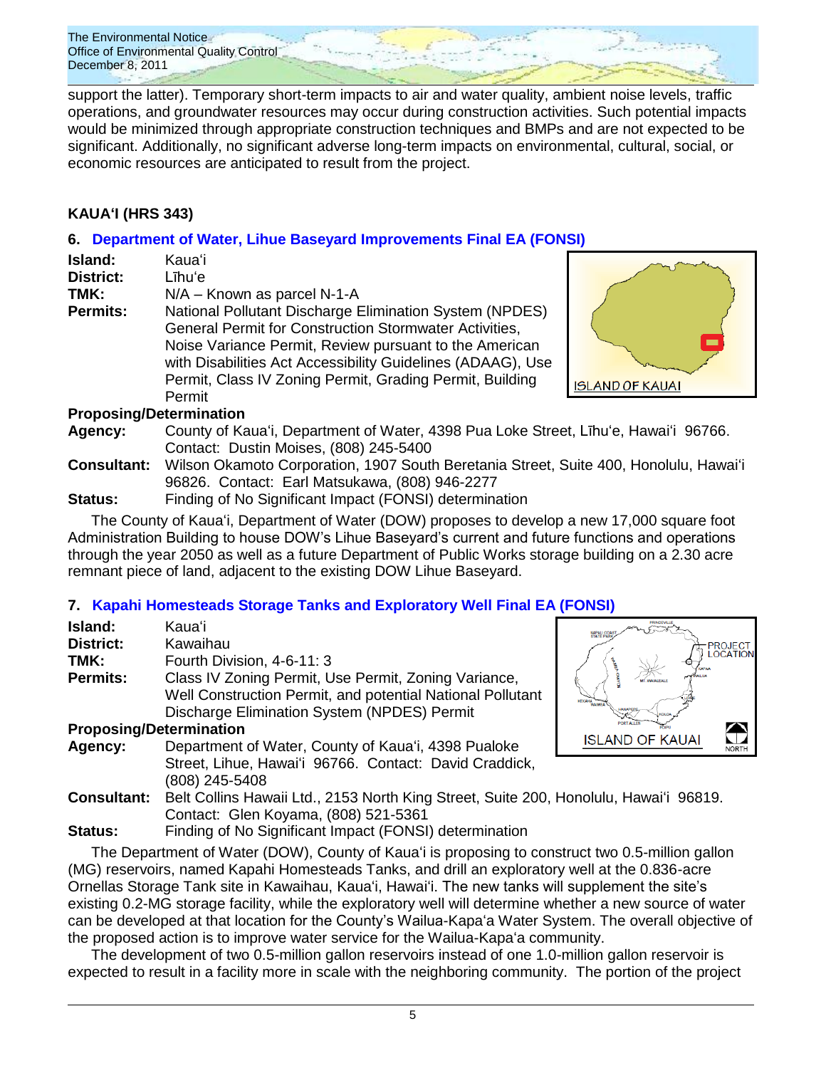

support the latter). Temporary short-term impacts to air and water quality, ambient noise levels, traffic operations, and groundwater resources may occur during construction activities. Such potential impacts would be minimized through appropriate construction techniques and BMPs and are not expected to be significant. Additionally, no significant adverse long-term impacts on environmental, cultural, social, or economic resources are anticipated to result from the project.

# **KAUAʻI (HRS 343)**

# **6. [Department of Water, Lihue Baseyard Improvements](http://oeqc.doh.hawaii.gov/Shared%20Documents/EA_and_EIS_Online_Library/Kauai/2010s/2011-12-08-FEA-Lihue-Baseyard-Improvements.pdf) Final EA (FONSI)**

| <b>Island:</b><br>District:<br>TMK: | Kauaʻi<br>Līhu'e<br>$N/A -$ Known as parcel N-1-A                                                                                                                                                                                                                                                                |
|-------------------------------------|------------------------------------------------------------------------------------------------------------------------------------------------------------------------------------------------------------------------------------------------------------------------------------------------------------------|
| <b>Permits:</b>                     |                                                                                                                                                                                                                                                                                                                  |
|                                     | National Pollutant Discharge Elimination System (NPDES)<br>General Permit for Construction Stormwater Activities,<br>Noise Variance Permit, Review pursuant to the American<br>with Disabilities Act Accessibility Guidelines (ADAAG), Use<br>Permit, Class IV Zoning Permit, Grading Permit, Building<br>Permit |



### **Proposing/Determination**

- **Agency:** County of Kauaʻi, Department of Water, 4398 Pua Loke Street, Līhuʻe, Hawaiʻi 96766. Contact: Dustin Moises, (808) 245-5400
- **Consultant:** Wilson Okamoto Corporation, 1907 South Beretania Street, Suite 400, Honolulu, Hawaiʻi 96826. Contact: Earl Matsukawa, (808) 946-2277
- **Status:** Finding of No Significant Impact (FONSI) determination

The County of Kauaʻi, Department of Water (DOW) proposes to develop a new 17,000 square foot Administration Building to house DOW's Lihue Baseyard's current and future functions and operations through the year 2050 as well as a future Department of Public Works storage building on a 2.30 acre remnant piece of land, adjacent to the existing DOW Lihue Baseyard.

# **7. [Kapahi Homesteads Storage Tanks and Exploratory Well](http://oeqc.doh.hawaii.gov/Shared%20Documents/EA_and_EIS_Online_Library/Kauai/2010s/2011-12-08-FEA-Kapahi-Homestead-Storage-Tanks.pdf) Final EA (FONSI)**

| Island:                        | Kauaʻi                                                                                | <b>STATE PAR</b>       |
|--------------------------------|---------------------------------------------------------------------------------------|------------------------|
| <b>District:</b>               | Kawaihau                                                                              | PRC<br>LOC             |
| TMK:                           | Fourth Division, 4-6-11: 3                                                            |                        |
| <b>Permits:</b>                | Class IV Zoning Permit, Use Permit, Zoning Variance,                                  |                        |
|                                | Well Construction Permit, and potential National Pollutant                            | KEKAHA<br>WAIMEA       |
|                                | Discharge Elimination System (NPDES) Permit                                           | HANAPE                 |
| <b>Proposing/Determination</b> |                                                                                       |                        |
| Agency:                        | Department of Water, County of Kaua'i, 4398 Pualoke                                   | <b>ISLAND OF KAUAI</b> |
|                                | Street, Lihue, Hawai'i 96766. Contact: David Craddick,                                |                        |
|                                | (808) 245-5408                                                                        |                        |
| <b>Consultant:</b>             | Belt Collins Hawaii Ltd., 2153 North King Street, Suite 200, Honolulu, Hawai'i 96819. |                        |
|                                | Contact: Glen Koyama, (808) 521-5361                                                  |                        |
| $C_{\text{full}}$              | $Findina$ of No. $Cianification$ $Innoot$ $(ECONCU)$ determination                    |                        |

# **Status:** Finding of No Significant Impact (FONSI) determination

The Department of Water (DOW), County of Kauaʻi is proposing to construct two 0.5-million gallon (MG) reservoirs, named Kapahi Homesteads Tanks, and drill an exploratory well at the 0.836-acre Ornellas Storage Tank site in Kawaihau, Kauaʻi, Hawaiʻi. The new tanks will supplement the site's existing 0.2-MG storage facility, while the exploratory well will determine whether a new source of water can be developed at that location for the County's Wailua-Kapaʻa Water System. The overall objective of the proposed action is to improve water service for the Wailua-Kapaʻa community.

The development of two 0.5-million gallon reservoirs instead of one 1.0-million gallon reservoir is expected to result in a facility more in scale with the neighboring community. The portion of the project



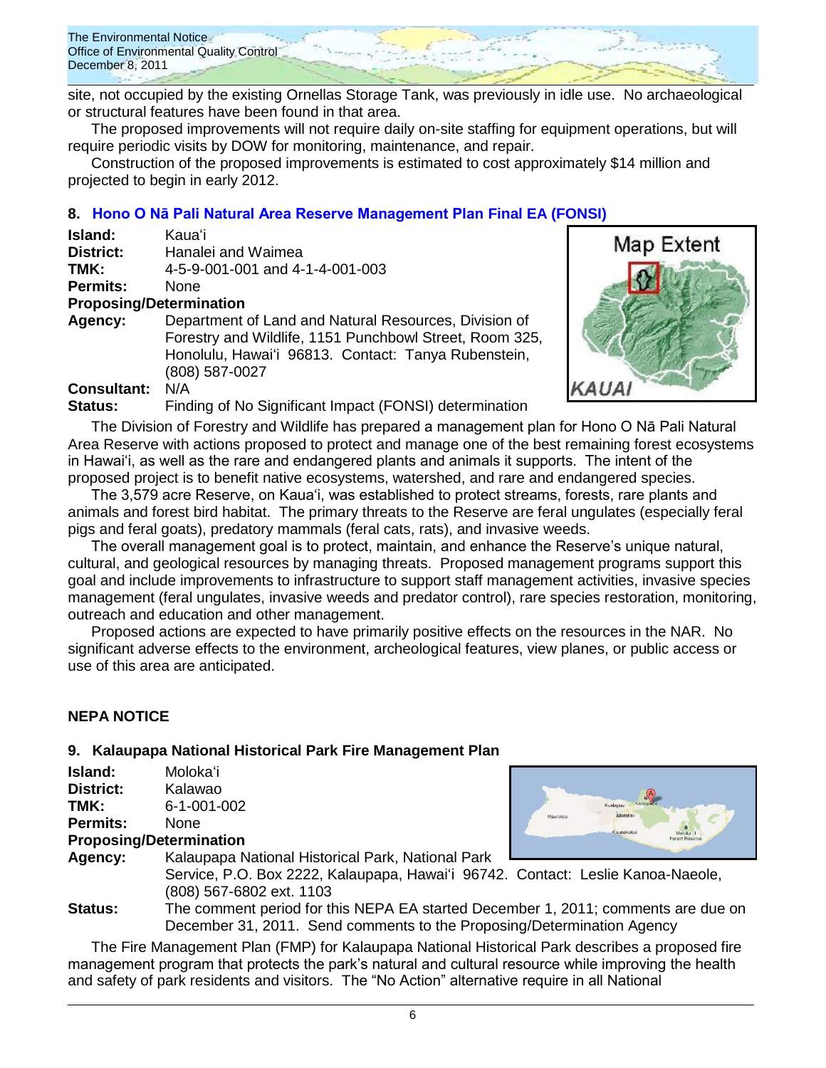The Environmental Notice Office of Environmental Quality Control December 8, 2011

site, not occupied by the existing Ornellas Storage Tank, was previously in idle use. No archaeological or structural features have been found in that area.

The proposed improvements will not require daily on-site staffing for equipment operations, but will require periodic visits by DOW for monitoring, maintenance, and repair.

Construction of the proposed improvements is estimated to cost approximately \$14 million and projected to begin in early 2012.

# **8. [Hono O Nā Pali Natural Area Reserve Management Plan](http://oeqc.doh.hawaii.gov/Shared%20Documents/EA_and_EIS_Online_Library/Kauai/2010s/2011-12-08-FEA-Hono-O-Na-Pali-Natural-Reserve.pdf) Final EA (FONSI)**

| Island:                        | Kauaʻi                                                                                                                                                                                    |
|--------------------------------|-------------------------------------------------------------------------------------------------------------------------------------------------------------------------------------------|
| District:                      | Hanalei and Waimea                                                                                                                                                                        |
| TMK:                           | 4-5-9-001-001 and 4-1-4-001-003                                                                                                                                                           |
| <b>Permits:</b>                | <b>None</b>                                                                                                                                                                               |
| <b>Proposing/Determination</b> |                                                                                                                                                                                           |
| Agency:                        | Department of Land and Natural Resources, Division of<br>Forestry and Wildlife, 1151 Punchbowl Street, Room 325,<br>Honolulu, Hawai'i 96813. Contact: Tanya Rubenstein,<br>(808) 587-0027 |
| <b>Consultant:</b>             | N/A                                                                                                                                                                                       |
| Status:                        | Finding of No Significant Impact (FONSI) determination                                                                                                                                    |



The Division of Forestry and Wildlife has prepared a management plan for Hono O Nā Pali Natural Area Reserve with actions proposed to protect and manage one of the best remaining forest ecosystems in Hawai'i, as well as the rare and endangered plants and animals it supports. The intent of the proposed project is to benefit native ecosystems, watershed, and rare and endangered species.

The 3,579 acre Reserve, on Kaua'i, was established to protect streams, forests, rare plants and animals and forest bird habitat. The primary threats to the Reserve are feral ungulates (especially feral pigs and feral goats), predatory mammals (feral cats, rats), and invasive weeds.

The overall management goal is to protect, maintain, and enhance the Reserve's unique natural, cultural, and geological resources by managing threats. Proposed management programs support this goal and include improvements to infrastructure to support staff management activities, invasive species management (feral ungulates, invasive weeds and predator control), rare species restoration, monitoring, outreach and education and other management.

Proposed actions are expected to have primarily positive effects on the resources in the NAR. No significant adverse effects to the environment, archeological features, view planes, or public access or use of this area are anticipated.

# **NEPA NOTICE**

# **9. Kalaupapa National Historical Park Fire Management Plan**

| Island:          | Molokaʻi    |
|------------------|-------------|
| <b>District:</b> | Kalawao     |
| TMK:             | 6-1-001-002 |
| <b>Permits:</b>  | None        |

### **Proposing/Determination**



**Agency:** Kalaupapa National Historical Park, National Park Service, P.O. Box 2222, Kalaupapa, Hawaiʻi 96742. Contact: Leslie Kanoa-Naeole, (808) 567-6802 ext. 1103

**Status:** The comment period for this NEPA EA started December 1, 2011; comments are due on December 31, 2011. Send comments to the Proposing/Determination Agency

The Fire Management Plan (FMP) for Kalaupapa National Historical Park describes a proposed fire management program that protects the park's natural and cultural resource while improving the health and safety of park residents and visitors. The "No Action" alternative require in all National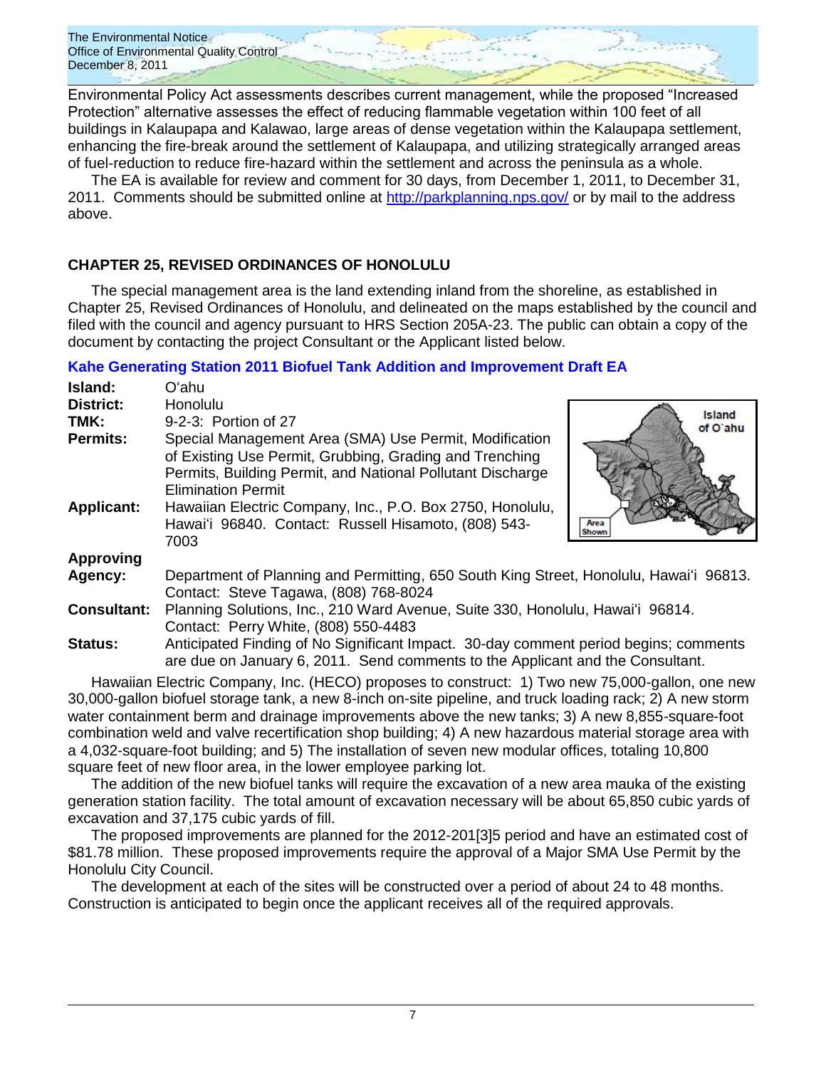The Environmental Notice Office of Environmental Quality Control December 8, 2011

Environmental Policy Act assessments describes current management, while the proposed "Increased Protection" alternative assesses the effect of reducing flammable vegetation within 100 feet of all buildings in Kalaupapa and Kalawao, large areas of dense vegetation within the Kalaupapa settlement, enhancing the fire-break around the settlement of Kalaupapa, and utilizing strategically arranged areas of fuel-reduction to reduce fire-hazard within the settlement and across the peninsula as a whole.

The EA is available for review and comment for 30 days, from December 1, 2011, to December 31, 2011. Comments should be submitted online at<http://parkplanning.nps.gov/> or by mail to the address above.

### **CHAPTER 25, REVISED ORDINANCES OF HONOLULU**

The special management area is the land extending inland from the shoreline, as established in Chapter 25, Revised Ordinances of Honolulu, and delineated on the maps established by the council and filed with the council and agency pursuant to HRS Section 205A-23. The public can obtain a copy of the document by contacting the project Consultant or the Applicant listed below.

### **[Kahe Generating Station 2011 Biofuel Tank Addition and](http://oeqc.doh.hawaii.gov/Shared%20Documents/EA_and_EIS_Online_Library/Non-343-EA-EIS-Documents(SMA)/2011-12-08-Chapter-25-DEA-Kahe-Generating-Station-2011-Projects.pdf) Improvement Draft EA**

| Island:                       | Oʻahu                                                                                                                                                                                                                                                                     |  |
|-------------------------------|---------------------------------------------------------------------------------------------------------------------------------------------------------------------------------------------------------------------------------------------------------------------------|--|
| <b>District:</b>              | Honolulu                                                                                                                                                                                                                                                                  |  |
| TMK:                          | <b>Island</b><br>9-2-3: Portion of 27<br>of O'ahu                                                                                                                                                                                                                         |  |
| Permits:<br><b>Applicant:</b> | Special Management Area (SMA) Use Permit, Modification<br>of Existing Use Permit, Grubbing, Grading and Trenching<br>Permits, Building Permit, and National Pollutant Discharge<br><b>Elimination Permit</b><br>Hawaiian Electric Company, Inc., P.O. Box 2750, Honolulu, |  |
|                               | Hawai'i 96840. Contact: Russell Hisamoto, (808) 543-<br>Area<br>Shown<br>7003                                                                                                                                                                                             |  |
| <b>Approving</b>              |                                                                                                                                                                                                                                                                           |  |
| Agency:                       | Department of Planning and Permitting, 650 South King Street, Honolulu, Hawai'i 96813.<br>Contact: Steve Tagawa, (808) 768-8024                                                                                                                                           |  |
| <b>Consultant:</b>            | Planning Solutions, Inc., 210 Ward Avenue, Suite 330, Honolulu, Hawai'i 96814.<br>Contact: Perry White, (808) 550-4483                                                                                                                                                    |  |
| <b>Status:</b>                | Anticipated Finding of No Significant Impact. 30-day comment period begins; comments<br>are due on January 6, 2011. Send comments to the Applicant and the Consultant.                                                                                                    |  |

Hawaiian Electric Company, Inc. (HECO) proposes to construct: 1) Two new 75,000-gallon, one new 30,000-gallon biofuel storage tank, a new 8-inch on-site pipeline, and truck loading rack; 2) A new storm water containment berm and drainage improvements above the new tanks; 3) A new 8,855-square-foot combination weld and valve recertification shop building; 4) A new hazardous material storage area with a 4,032-square-foot building; and 5) The installation of seven new modular offices, totaling 10,800 square feet of new floor area, in the lower employee parking lot.

The addition of the new biofuel tanks will require the excavation of a new area mauka of the existing generation station facility. The total amount of excavation necessary will be about 65,850 cubic yards of excavation and 37,175 cubic yards of fill.

The proposed improvements are planned for the 2012-201[3]5 period and have an estimated cost of \$81.78 million. These proposed improvements require the approval of a Major SMA Use Permit by the Honolulu City Council.

The development at each of the sites will be constructed over a period of about 24 to 48 months. Construction is anticipated to begin once the applicant receives all of the required approvals.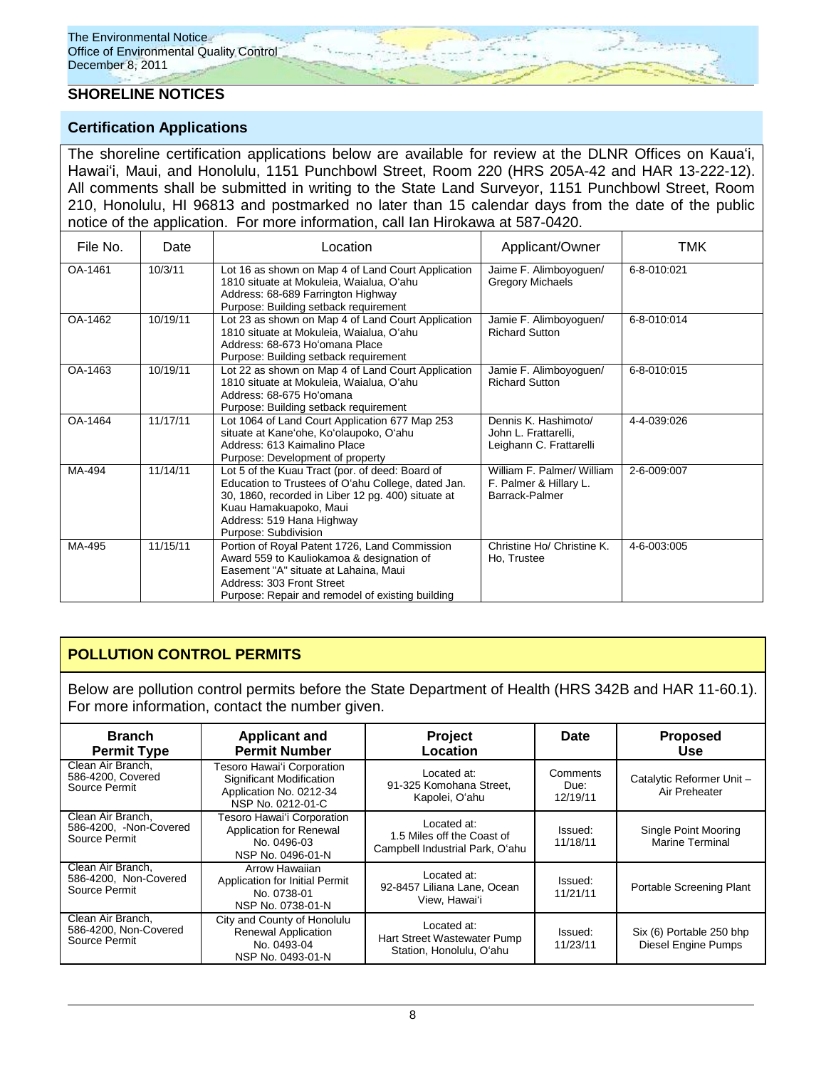### **SHORELINE NOTICES**

### **Certification Applications**

The shoreline certification applications below are available for review at the DLNR Offices on Kauaʻi, Hawaiʻi, Maui, and Honolulu, 1151 Punchbowl Street, Room 220 (HRS 205A-42 and HAR 13-222-12). All comments shall be submitted in writing to the State Land Surveyor, 1151 Punchbowl Street, Room 210, Honolulu, HI 96813 and postmarked no later than 15 calendar days from the date of the public notice of the application. For more information, call Ian Hirokawa at 587-0420.

| File No. | Date     | Location                                                                                                                                                                                                                                   | Applicant/Owner                                                         | TMK         |
|----------|----------|--------------------------------------------------------------------------------------------------------------------------------------------------------------------------------------------------------------------------------------------|-------------------------------------------------------------------------|-------------|
| OA-1461  | 10/3/11  | Lot 16 as shown on Map 4 of Land Court Application<br>1810 situate at Mokuleia, Waialua, O'ahu<br>Address: 68-689 Farrington Highway<br>Purpose: Building setback requirement                                                              | Jaime F. Alimboyoguen/<br><b>Gregory Michaels</b>                       | 6-8-010:021 |
| OA-1462  | 10/19/11 | Lot 23 as shown on Map 4 of Land Court Application<br>1810 situate at Mokuleia, Waialua, O'ahu<br>Address: 68-673 Ho'omana Place<br>Purpose: Building setback requirement                                                                  | Jamie F. Alimboyoguen/<br><b>Richard Sutton</b>                         | 6-8-010:014 |
| OA-1463  | 10/19/11 | Lot 22 as shown on Map 4 of Land Court Application<br>1810 situate at Mokuleia, Waialua, O'ahu<br>Address: 68-675 Ho'omana<br>Purpose: Building setback requirement                                                                        | Jamie F. Alimboyoguen/<br><b>Richard Sutton</b>                         | 6-8-010:015 |
| OA-1464  | 11/17/11 | Lot 1064 of Land Court Application 677 Map 253<br>situate at Kane'ohe, Ko'olaupoko, O'ahu<br>Address: 613 Kaimalino Place<br>Purpose: Development of property                                                                              | Dennis K. Hashimoto/<br>John L. Frattarelli,<br>Leighann C. Frattarelli | 4-4-039:026 |
| MA-494   | 11/14/11 | Lot 5 of the Kuau Tract (por. of deed: Board of<br>Education to Trustees of O'ahu College, dated Jan.<br>30, 1860, recorded in Liber 12 pg. 400) situate at<br>Kuau Hamakuapoko, Maui<br>Address: 519 Hana Highway<br>Purpose: Subdivision | William F. Palmer/ William<br>F. Palmer & Hillary L.<br>Barrack-Palmer  | 2-6-009:007 |
| MA-495   | 11/15/11 | Portion of Royal Patent 1726, Land Commission<br>Award 559 to Kauliokamoa & designation of<br>Easement "A" situate at Lahaina, Maui<br>Address: 303 Front Street<br>Purpose: Repair and remodel of existing building                       | Christine Ho/ Christine K.<br>Ho, Trustee                               | 4-6-003:005 |

# **POLLUTION CONTROL PERMITS**

Below are pollution control permits before the State Department of Health (HRS 342B and HAR 11-60.1). For more information, contact the number given.

| <b>Branch</b><br><b>Permit Type</b>                          | <b>Applicant and</b><br><b>Permit Number</b>                                                           | <b>Project</b><br>Location                                                   | Date                         | <b>Proposed</b><br>Use                                 |
|--------------------------------------------------------------|--------------------------------------------------------------------------------------------------------|------------------------------------------------------------------------------|------------------------------|--------------------------------------------------------|
| Clean Air Branch.<br>586-4200, Covered<br>Source Permit      | Tesoro Hawai'i Corporation<br>Significant Modification<br>Application No. 0212-34<br>NSP No. 0212-01-C | Located at:<br>91-325 Komohana Street,<br>Kapolei, O'ahu                     | Comments<br>Due:<br>12/19/11 | Catalytic Reformer Unit -<br>Air Preheater             |
| Clean Air Branch,<br>586-4200, -Non-Covered<br>Source Permit | Tesoro Hawai'i Corporation<br>Application for Renewal<br>No. 0496-03<br>NSP No. 0496-01-N              | Located at:<br>1.5 Miles off the Coast of<br>Campbell Industrial Park, O'ahu | Issued:<br>11/18/11          | Single Point Mooring<br><b>Marine Terminal</b>         |
| Clean Air Branch.<br>586-4200. Non-Covered<br>Source Permit  | Arrow Hawaiian<br>Application for Initial Permit<br>No. 0738-01<br>NSP No. 0738-01-N                   | Located at:<br>92-8457 Liliana Lane, Ocean<br>View. Hawai'i                  | Issued:<br>11/21/11          | Portable Screening Plant                               |
| Clean Air Branch,<br>586-4200, Non-Covered<br>Source Permit  | City and County of Honolulu<br><b>Renewal Application</b><br>No. 0493-04<br>NSP No. 0493-01-N          | Located at:<br>Hart Street Wastewater Pump<br>Station, Honolulu, O'ahu       | Issued:<br>11/23/11          | Six (6) Portable 250 bhp<br><b>Diesel Engine Pumps</b> |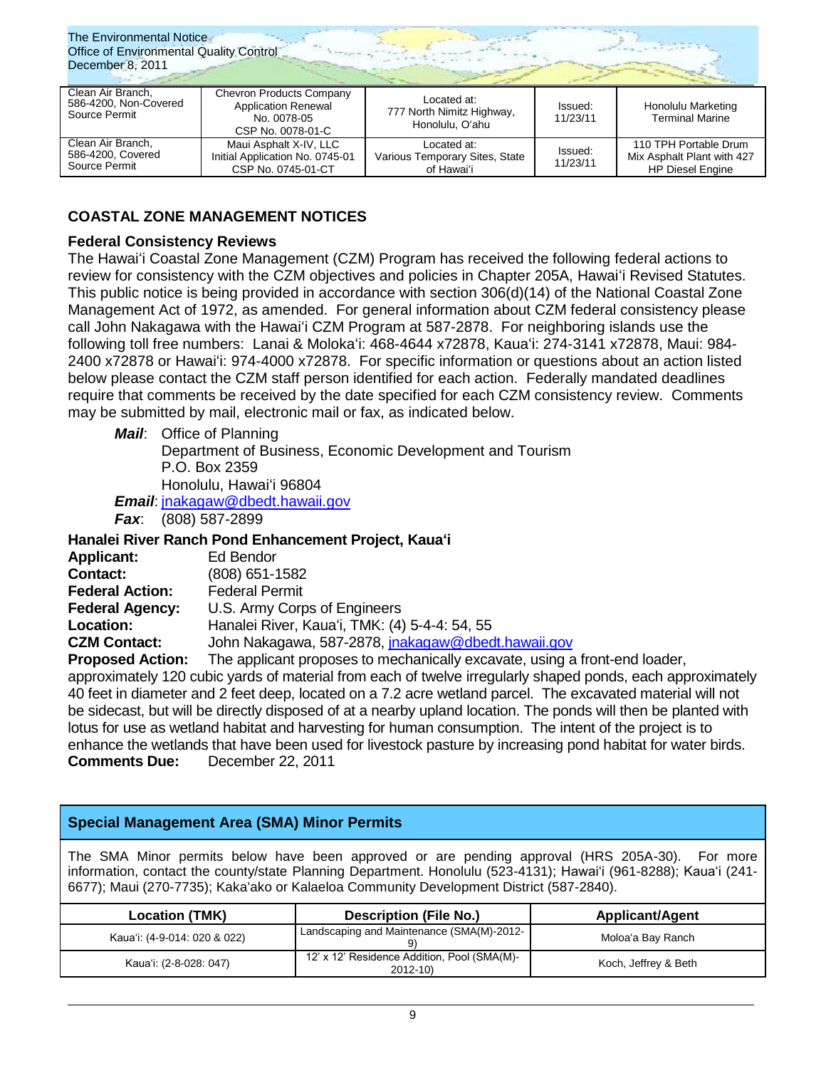| The Environmental Notice<br><b>Office of Environmental Quality Control</b><br>December 8, 2011 |                                                                                            |                                                             |                     |                                                                                |  |
|------------------------------------------------------------------------------------------------|--------------------------------------------------------------------------------------------|-------------------------------------------------------------|---------------------|--------------------------------------------------------------------------------|--|
| Clean Air Branch,<br>586-4200, Non-Covered<br>Source Permit                                    | Chevron Products Company<br><b>Application Renewal</b><br>No. 0078-05<br>CSP No. 0078-01-C | Located at:<br>777 North Nimitz Highway,<br>Honolulu, O'ahu | Issued:<br>11/23/11 | Honolulu Marketing<br><b>Terminal Marine</b>                                   |  |
| Clean Air Branch,<br>586-4200, Covered<br>Source Permit                                        | Maui Asphalt X-IV, LLC<br>Initial Application No. 0745-01<br>CSP No. 0745-01-CT            | Located at:<br>Various Temporary Sites, State<br>of Hawai'i | Issued:<br>11/23/11 | 110 TPH Portable Drum<br>Mix Asphalt Plant with 427<br><b>HP Diesel Engine</b> |  |

# **COASTAL ZONE MANAGEMENT NOTICES**

# **Federal Consistency Reviews**

The Hawaiʻi Coastal Zone Management (CZM) Program has received the following federal actions to review for consistency with the CZM objectives and policies in Chapter 205A, Hawaiʻi Revised Statutes. This public notice is being provided in accordance with section 306(d)(14) of the National Coastal Zone Management Act of 1972, as amended. For general information about CZM federal consistency please call John Nakagawa with the Hawaiʻi CZM Program at 587-2878. For neighboring islands use the following toll free numbers: Lanai & Molokaʻi: 468-4644 x72878, Kauaʻi: 274-3141 x72878, Maui: 984- 2400 x72878 or Hawaiʻi: 974-4000 x72878. For specific information or questions about an action listed below please contact the CZM staff person identified for each action. Federally mandated deadlines require that comments be received by the date specified for each CZM consistency review. Comments may be submitted by mail, electronic mail or fax, as indicated below.

*Mail*: Office of Planning

Department of Business, Economic Development and Tourism P.O. Box 2359 Honolulu, Hawaiʻi 96804

*Email*: [jnakagaw@dbedt.hawaii.gov](mailto:jnakagaw@dbedt.hawaii.gov)

*Fax*: (808) 587-2899

**Hanalei River Ranch Pond Enhancement Project, Kauaʻi**

| <b>Applicant:</b>      | Ed Bendor                                                    |
|------------------------|--------------------------------------------------------------|
| <b>Contact:</b>        | $(808)$ 651-1582                                             |
| <b>Federal Action:</b> | <b>Federal Permit</b>                                        |
| <b>Federal Agency:</b> | U.S. Army Corps of Engineers                                 |
| <b>Location:</b>       | Hanalei River, Kaua'i, TMK: (4) 5-4-4: 54, 55                |
| <b>CZM Contact:</b>    | John Nakagawa, 587-2878, jnakagaw@dbedt.hawaii.gov           |
| Dranacad Astian:       | The epplicant proposes to meabonically executed uping a from |

**Proposed Action:** The applicant proposes to mechanically excavate, using a front-end loader, approximately 120 cubic yards of material from each of twelve irregularly shaped ponds, each approximately 40 feet in diameter and 2 feet deep, located on a 7.2 acre wetland parcel. The excavated material will not be sidecast, but will be directly disposed of at a nearby upland location. The ponds will then be planted with lotus for use as wetland habitat and harvesting for human consumption. The intent of the project is to enhance the wetlands that have been used for livestock pasture by increasing pond habitat for water birds. **Comments Due:** December 22, 2011

# **Special Management Area (SMA) Minor Permits**

The SMA Minor permits below have been approved or are pending approval (HRS 205A-30). For more information, contact the county/state Planning Department. Honolulu (523-4131); Hawaiʻi (961-8288); Kaua'i (241- 6677); Maui (270-7735); Kakaʻako or Kalaeloa Community Development District (587-2840).

| <b>Location (TMK)</b>        | <b>Description (File No.)</b>                              | <b>Applicant/Agent</b> |
|------------------------------|------------------------------------------------------------|------------------------|
| Kaua'i: (4-9-014: 020 & 022) | Landscaping and Maintenance (SMA(M)-2012-                  | Moloa'a Bay Ranch      |
| Kaua'i: (2-8-028: 047)       | 12' x 12' Residence Addition, Pool (SMA(M)-<br>$2012 - 10$ | Koch, Jeffrey & Beth   |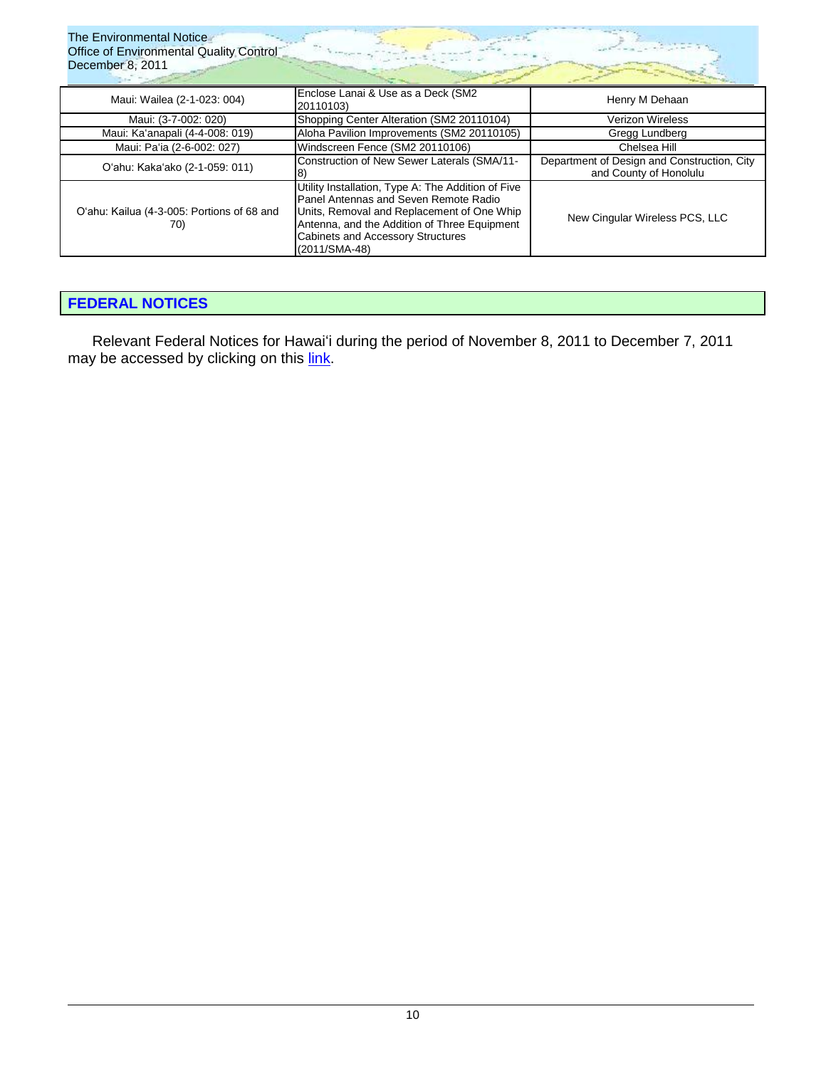| The Environmental Notice<br><b>Office of Environmental Quality Control</b><br>December 8, 2011 |                                                                                                                                                                                                                                                        |                                                                       |  |  |
|------------------------------------------------------------------------------------------------|--------------------------------------------------------------------------------------------------------------------------------------------------------------------------------------------------------------------------------------------------------|-----------------------------------------------------------------------|--|--|
| Maui: Wailea (2-1-023: 004)                                                                    | Enclose Lanai & Use as a Deck (SM2<br>20110103)                                                                                                                                                                                                        | Henry M Dehaan                                                        |  |  |
| Maui: (3-7-002: 020)                                                                           | Shopping Center Alteration (SM2 20110104)                                                                                                                                                                                                              | <b>Verizon Wireless</b>                                               |  |  |
| Maui: Ka'anapali (4-4-008: 019)                                                                | Aloha Pavilion Improvements (SM2 20110105)                                                                                                                                                                                                             | Gregg Lundberg                                                        |  |  |
| Maui: Pa'ia (2-6-002: 027)                                                                     | Windscreen Fence (SM2 20110106)                                                                                                                                                                                                                        | Chelsea Hill                                                          |  |  |
| O'ahu: Kaka'ako (2-1-059: 011)                                                                 | Construction of New Sewer Laterals (SMA/11-                                                                                                                                                                                                            | Department of Design and Construction, City<br>and County of Honolulu |  |  |
| O'ahu: Kailua (4-3-005: Portions of 68 and<br>70)                                              | Utility Installation, Type A: The Addition of Five<br>Panel Antennas and Seven Remote Radio<br>Units, Removal and Replacement of One Whip<br>Antenna, and the Addition of Three Equipment<br><b>Cabinets and Accessory Structures</b><br>(2011/SMA-48) | New Cingular Wireless PCS, LLC                                        |  |  |

# **[FEDERAL NOTICES](http://www.gpo.gov/fdsys/search/advanced/advsearch.action?totalMetadataFields=2&dispatch=advsearch&selectedPublicationDate=Date+is+after&selectedMonthFrom=11&selectedDateFrom=7&selectedYearFrom=2011&newAvailableList=&newAvailableList=GPO&newAvailableList=BUDGET&newAvailableList=CZIC&newAvailableList=CFR&newAvailableList=CPD&newAvailableList=BILLS&newAvailableList=CCAL&newAvailableList=CPRT&newAvailableList=CDIR&newAvailableList=CDOC&newAvailableList=CHRG&newAvailableList=CREC&newAvailableList=CRECB&newAvailableList=CRI&newAvailableList=CRPT&newAvailableList=ECONI&newAvailableList=ERP&newAvailableList=ERIC&newAvailableList=GAOREPORTS&newAvailableList=GOVMAN&newAvailableList=HOB&newAvailableList=HJOURNAL&newAvailableList=HMAN&newAvailableList=LSA&newAvailableList=PAI&newAvailableList=PPP&newAvailableList=PLAW&newAvailableList=SMAN&newAvailableList=STATUTE&newAvailableList=USCODE&newAvailableList=USCOURTS&newSelectedList=FR&ycord=0&selectedMetadataField1=content&selectedTextBoxValue1=%22Hawaii%22&link=)**

Relevant Federal Notices for Hawaiʻi during the period of November 8, 2011 to December 7, 2011 may be accessed by clicking on this *link*.